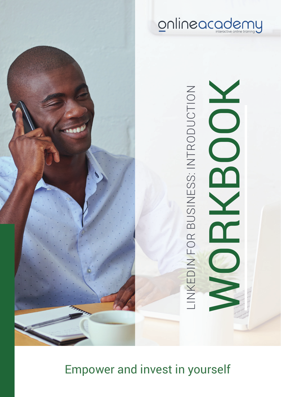



Empower and invest in yourself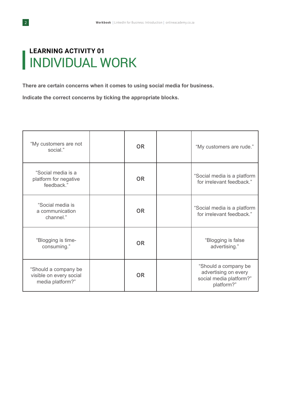### **LEARNING ACTIVITY 01** INDIVIDUAL WORK

**There are certain concerns when it comes to using social media for business.**

**Indicate the correct concerns by ticking the appropriate blocks.**

| "My customers are not<br>social."                                   | <b>OR</b> | "My customers are rude."                                                              |
|---------------------------------------------------------------------|-----------|---------------------------------------------------------------------------------------|
| "Social media is a<br>platform for negative<br>feedback."           | <b>OR</b> | "Social media is a platform<br>for irrelevant feedback."                              |
| "Social media is<br>a communication<br>channel."                    | <b>OR</b> | "Social media is a platform<br>for irrelevant feedback."                              |
| "Blogging is time-<br>consuming."                                   | <b>OR</b> | "Blogging is false<br>advertising."                                                   |
| "Should a company be<br>visible on every social<br>media platform?" | <b>OR</b> | "Should a company be<br>advertising on every<br>social media platform?"<br>platform?" |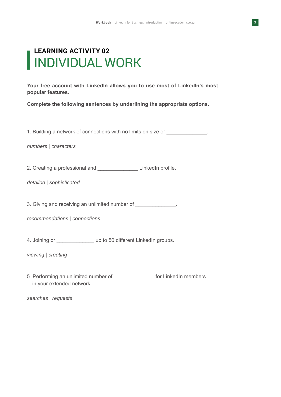## **LEARNING ACTIVITY 02** INDIVIDUAL WORK

**Your free account with LinkedIn allows you to use most of LinkedIn's most popular features.**

**Complete the following sentences by underlining the appropriate options.**

1. Building a network of connections with no limits on size or  $\qquad \qquad$ .

*numbers | characters*

2. Creating a professional and **Example 2.** LinkedIn profile.

*detailed | sophisticated*

3. Giving and receiving an unlimited number of  $\qquad \qquad$ .

*recommendations | connections*

4. Joining or \_\_\_\_\_\_\_\_\_\_\_\_\_\_\_\_ up to 50 different LinkedIn groups.

*viewing | creating*

5. Performing an unlimited number of **with all and the United States of LinkedIn members** in your extended network.

*searches | requests*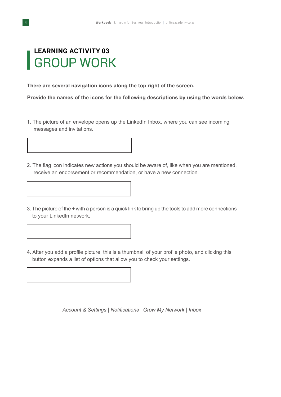#### **LEARNING ACTIVITY 03** GROUP WORK

**There are several navigation icons along the top right of the screen.**

**Provide the names of the icons for the following descriptions by using the words below.**

- 1. The picture of an envelope opens up the LinkedIn Inbox, where you can see incoming messages and invitations.
- 2. The flag icon indicates new actions you should be aware of, like when you are mentioned, receive an endorsement or recommendation, or have a new connection.
- 3. The picture of the + with a person is a quick link to bring up the tools to add more connections to your LinkedIn network.
- 4. After you add a profile picture, this is a thumbnail of your profile photo, and clicking this button expands a list of options that allow you to check your settings.

*Account & Settings | Notifications | Grow My Network | Inbox*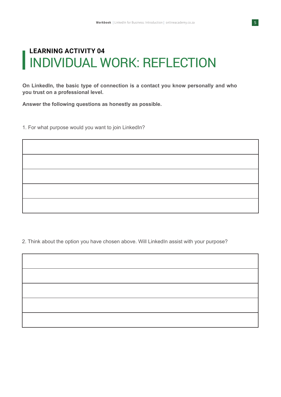# **LEARNING ACTIVITY 04** INDIVIDUAL WORK: REFLECTION

**On LinkedIn, the basic type of connection is a contact you know personally and who you trust on a professional level.**

**Answer the following questions as honestly as possible.**

1. For what purpose would you want to join LinkedIn?

2. Think about the option you have chosen above. Will LinkedIn assist with your purpose?

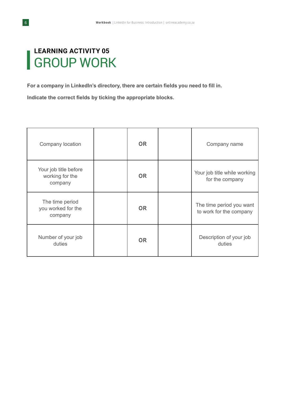### **LEARNING ACTIVITY 05** GROUP WORK

For a company in LinkedIn's directory, there are certain fields you need to fill in.

**Indicate the correct fields by ticking the appropriate blocks.**

| Company location                                    | <b>OR</b> | Company name                                        |
|-----------------------------------------------------|-----------|-----------------------------------------------------|
| Your job title before<br>working for the<br>company | <b>OR</b> | Your job title while working<br>for the company     |
| The time period<br>you worked for the<br>company    | <b>OR</b> | The time period you want<br>to work for the company |
| Number of your job<br>duties                        | <b>OR</b> | Description of your job<br>duties                   |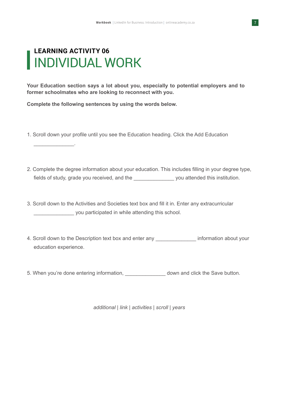# **LEARNING ACTIVITY 06** INDIVIDUAL WORK

 $\overline{\phantom{a}}$  , where  $\overline{\phantom{a}}$ 

**Your Education section says a lot about you, especially to potential employers and to former schoolmates who are looking to reconnect with you.** 

**Complete the following sentences by using the words below.**

- 1. Scroll down your profile until you see the Education heading. Click the Add Education
- 2. Complete the degree information about your education. This includes filling in your degree type, fields of study, grade you received, and the **the set of the state you attended this institution**.
- 3. Scroll down to the Activities and Societies text box and fill it in. Enter any extracurricular you participated in while attending this school.
- 4. Scroll down to the Description text box and enter any \_\_\_\_\_\_\_\_\_\_\_\_\_\_\_\_\_\_\_\_\_\_\_ information about your education experience.
- 5. When you're done entering information, the state of down and click the Save button.

*additional | link | activities | scroll | years*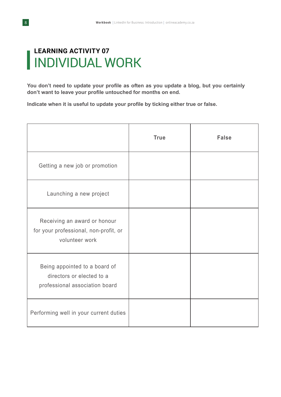# **LEARNING ACTIVITY 07** INDIVIDUAL WORK

**You don't need to update your profile as often as you update a blog, but you certainly don't want to leave your profile untouched for months on end.**

**Indicate when it is useful to update your profile by ticking either true or false.**

|                                                                                              | <b>True</b> | <b>False</b> |
|----------------------------------------------------------------------------------------------|-------------|--------------|
| Getting a new job or promotion                                                               |             |              |
| Launching a new project                                                                      |             |              |
| Receiving an award or honour<br>for your professional, non-profit, or<br>volunteer work      |             |              |
| Being appointed to a board of<br>directors or elected to a<br>professional association board |             |              |
| Performing well in your current duties                                                       |             |              |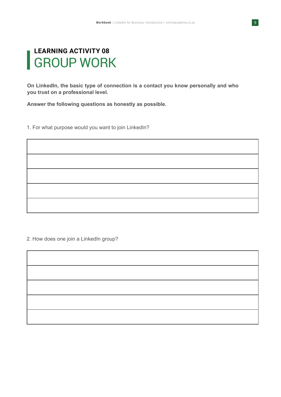## **LEARNING ACTIVITY 08** GROUP WORK

**On LinkedIn, the basic type of connection is a contact you know personally and who you trust on a professional level.**

**Answer the following questions as honestly as possible.**

1. For what purpose would you want to join LinkedIn?

2. How does one join a LinkedIn group?